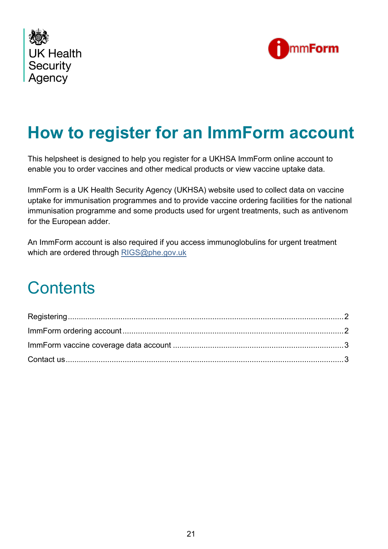



# **How to register for an ImmForm account**

This helpsheet is designed to help you register for a UKHSA ImmForm online account to enable you to order vaccines and other medical products or view vaccine uptake data.

ImmForm is a UK Health Security Agency (UKHSA) website used to collect data on vaccine uptake for immunisation programmes and to provide vaccine ordering facilities for the national immunisation programme and some products used for urgent treatments, such as antivenom for the European adder.

An ImmForm account is also required if you access immunoglobulins for urgent treatment which are ordered through [RIGS@phe.gov.uk](mailto:RIGS@phe.gov.uk)

## **Contents**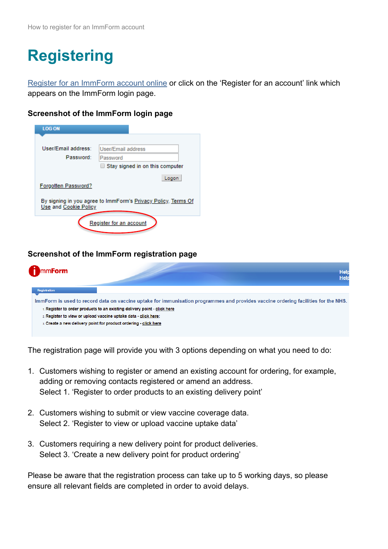# <span id="page-1-0"></span>**Registering**

[Register for an ImmForm account online](https://portal.immform.phe.gov.uk/Registration.aspx) or click on the 'Register for an account' link which appears on the [ImmForm login page.](https://portal.immform.phe.gov.uk/Logon.aspx?)

#### **Screenshot of the ImmForm login page**

| <b>LOG ON</b>                                                                          |                                        |  |  |  |
|----------------------------------------------------------------------------------------|----------------------------------------|--|--|--|
|                                                                                        |                                        |  |  |  |
| User/Email address:                                                                    | User/Email address                     |  |  |  |
| Password:                                                                              | Password                               |  |  |  |
|                                                                                        | $\Box$ Stay signed in on this computer |  |  |  |
| Forgotten Password?                                                                    | Logon                                  |  |  |  |
| By signing in you agree to ImmForm's Privacy Policy, Terms Of<br>Use and Cookie Policy |                                        |  |  |  |
| Register for an account                                                                |                                        |  |  |  |

#### **Screenshot of the ImmForm registration page**

| mm <b>Form</b>      |                                                                       | <b>Help</b><br><b>Help</b>                                                                                                         |
|---------------------|-----------------------------------------------------------------------|------------------------------------------------------------------------------------------------------------------------------------|
| <b>Registration</b> |                                                                       |                                                                                                                                    |
|                     |                                                                       | ImmForm is used to record data on vaccine uptake for immunisation programmes and provides vaccine ordering facilities for the NHS. |
|                     | Register to order products to an existing delivery point - click here |                                                                                                                                    |
|                     | 2. Register to view or upload vaccine uptake data - click here;       |                                                                                                                                    |
|                     | 3. Create a new delivery point for product ordering - click here      |                                                                                                                                    |
|                     |                                                                       |                                                                                                                                    |

The registration page will provide you with 3 options depending on what you need to do:

- 1. Customers wishing to register or amend an existing account for ordering, for example, adding or removing contacts registered or amend an address. Select 1. 'Register to order products to an existing delivery point'
- 2. Customers wishing to submit or view vaccine coverage data. Select 2. 'Register to view or upload vaccine uptake data'
- 3. Customers requiring a new delivery point for product deliveries. Select 3. 'Create a new delivery point for product ordering'

<span id="page-1-1"></span>Please be aware that the registration process can take up to 5 working days, so please ensure all relevant fields are completed in order to avoid delays.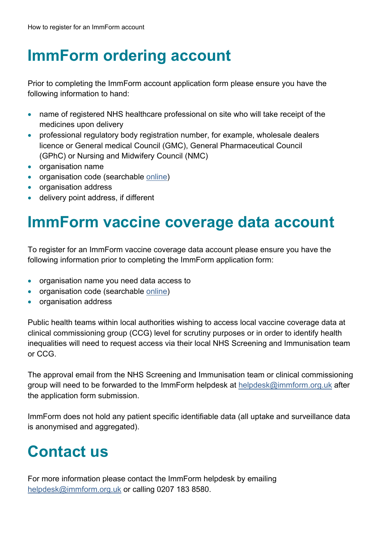### **ImmForm ordering account**

Prior to completing the ImmForm account application form please ensure you have the following information to hand:

- name of registered NHS healthcare professional on site who will take receipt of the medicines upon delivery
- professional regulatory body registration number, for example, wholesale dealers licence or General medical Council (GMC), General Pharmaceutical Council (GPhC) or Nursing and Midwifery Council (NMC)
- organisation name
- organisation code (searchable [online\)](https://odsportal.digital.nhs.uk/Organisation/Search)
- organisation address
- delivery point address, if different

### <span id="page-2-0"></span>**ImmForm vaccine coverage data account**

To register for an ImmForm vaccine coverage data account please ensure you have the following information prior to completing the ImmForm application form:

- organisation name you need data access to
- organisation code (searchable [online\)](https://odsportal.digital.nhs.uk/Organisation/Search)
- organisation address

Public health teams within local authorities wishing to access local vaccine coverage data at clinical commissioning group (CCG) level for scrutiny purposes or in order to identify health inequalities will need to request access via their local NHS Screening and Immunisation team or CCG.

The approval email from the NHS Screening and Immunisation team or clinical commissioning group will need to be forwarded to the ImmForm helpdesk at [helpdesk@immform.org.uk](mailto:helpdesk@immform.org.uk) after the application form submission.

ImmForm does not hold any patient specific identifiable data (all uptake and surveillance data is anonymised and aggregated).

### <span id="page-2-1"></span>**Contact us**

For more information please contact the ImmForm helpdesk by emailing [helpdesk@immform.org.uk](mailto:helpdesk@immform.org.uk) or calling 0207 183 8580.